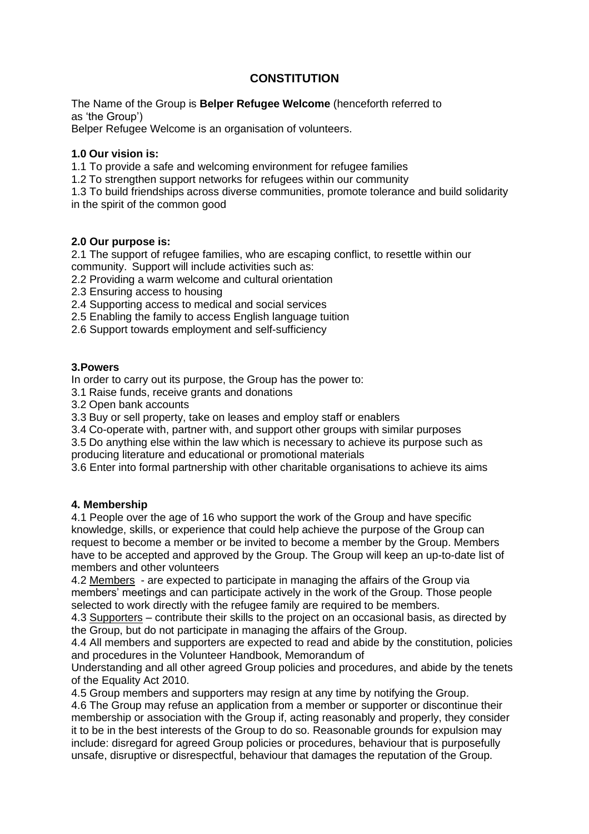# **CONSTITUTION**

The Name of the Group is **Belper Refugee Welcome** (henceforth referred to as 'the Group')

Belper Refugee Welcome is an organisation of volunteers.

### **1.0 Our vision is:**

1.1 To provide a safe and welcoming environment for refugee families

1.2 To strengthen support networks for refugees within our community

1.3 To build friendships across diverse communities, promote tolerance and build solidarity in the spirit of the common good

#### **2.0 Our purpose is:**

2.1 The support of refugee families, who are escaping conflict, to resettle within our community. Support will include activities such as:

2.2 Providing a warm welcome and cultural orientation

2.3 Ensuring access to housing

2.4 Supporting access to medical and social services

2.5 Enabling the family to access English language tuition

2.6 Support towards employment and self-sufficiency

#### **3.Powers**

In order to carry out its purpose, the Group has the power to:

3.1 Raise funds, receive grants and donations

3.2 Open bank accounts

3.3 Buy or sell property, take on leases and employ staff or enablers

3.4 Co-operate with, partner with, and support other groups with similar purposes

3.5 Do anything else within the law which is necessary to achieve its purpose such as producing literature and educational or promotional materials

3.6 Enter into formal partnership with other charitable organisations to achieve its aims

### **4. Membership**

4.1 People over the age of 16 who support the work of the Group and have specific knowledge, skills, or experience that could help achieve the purpose of the Group can request to become a member or be invited to become a member by the Group. Members have to be accepted and approved by the Group. The Group will keep an up-to-date list of members and other volunteers

4.2 Members - are expected to participate in managing the affairs of the Group via members' meetings and can participate actively in the work of the Group. Those people selected to work directly with the refugee family are required to be members.

4.3 Supporters – contribute their skills to the project on an occasional basis, as directed by the Group, but do not participate in managing the affairs of the Group.

4.4 All members and supporters are expected to read and abide by the constitution, policies and procedures in the Volunteer Handbook, Memorandum of

Understanding and all other agreed Group policies and procedures, and abide by the tenets of the Equality Act 2010.

4.5 Group members and supporters may resign at any time by notifying the Group.

4.6 The Group may refuse an application from a member or supporter or discontinue their membership or association with the Group if, acting reasonably and properly, they consider it to be in the best interests of the Group to do so. Reasonable grounds for expulsion may include: disregard for agreed Group policies or procedures, behaviour that is purposefully unsafe, disruptive or disrespectful, behaviour that damages the reputation of the Group.